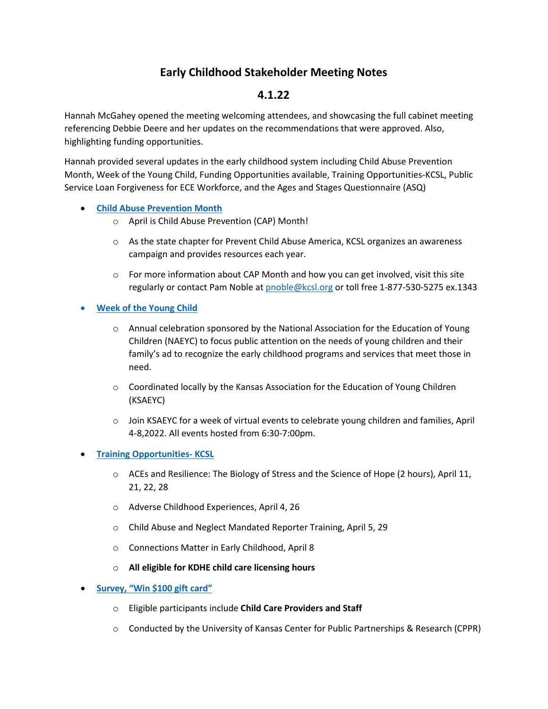# **Early Childhood Stakeholder Meeting Notes**

## **4.1.22**

Hannah McGahey opened the meeting welcoming attendees, and showcasing the full cabinet meeting referencing Debbie Deere and her updates on the recommendations that were approved. Also, highlighting funding opportunities.

Hannah provided several updates in the early childhood system including Child Abuse Prevention Month, Week of the Young Child, Funding Opportunities available, Training Opportunities-KCSL, Public Service Loan Forgiveness for ECE Workforce, and the Ages and Stages Questionnaire (ASQ)

- **[Child Abuse Prevention Month](https://www.kcsl.org/PDFs/CAP%20toolkit%202022.pdf)**
	- o April is Child Abuse Prevention (CAP) Month!
	- o As the state chapter for Prevent Child Abuse America, KCSL organizes an awareness campaign and provides resources each year.
	- $\circ$  For more information about CAP Month and how you can get involved, visit this site regularly or contact Pam Noble at [pnoble@kcsl.org](mailto:pnoble@kcsl.org) or toll free 1-877-530-5275 ex.1343
- **[Week of the Young Child](https://ksaeyc.net/events/week-of-the-young-child/)** 
	- o Annual celebration sponsored by the National Association for the Education of Young Children (NAEYC) to focus public attention on the needs of young children and their family's ad to recognize the early childhood programs and services that meet those in need.
	- $\circ$  Coordinated locally by the Kansas Association for the Education of Young Children (KSAEYC)
	- o Join KSAEYC for a week of virtual events to celebrate young children and families, April 4-8,2022. All events hosted from 6:30-7:00pm.
- **[Training Opportunities- KCSL](https://kcsl.org/training_events.aspx)**
	- $\circ$  ACEs and Resilience: The Biology of Stress and the Science of Hope (2 hours), April 11, 21, 22, 28
	- o Adverse Childhood Experiences, April 4, 26
	- o Child Abuse and Neglect Mandated Reporter Training, April 5, 29
	- o Connections Matter in Early Childhood, April 8
	- o **All eligible for KDHE child care licensing hours**
- **[Survey, "Win \\$100 gift card"](https://www.surveymonkey.com/r/LJZY36Z)**
	- o Eligible participants include **Child Care Providers and Staff**
	- o Conducted by the University of Kansas Center for Public Partnerships & Research (CPPR)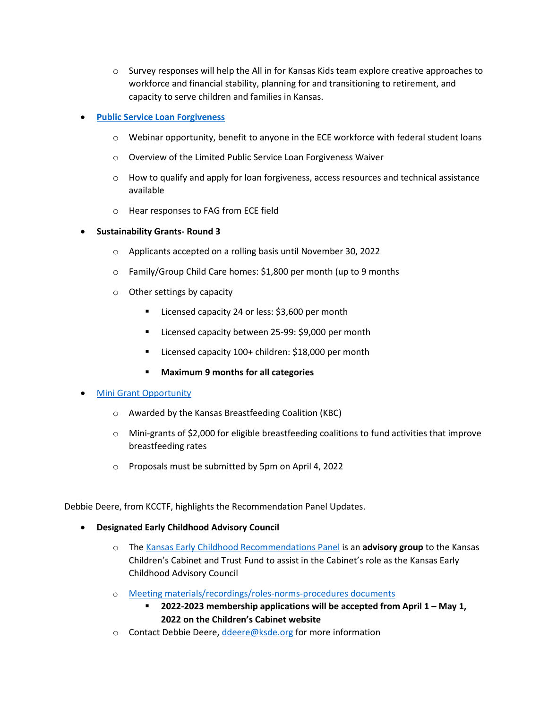$\circ$  Survey responses will help the All in for Kansas Kids team explore creative approaches to workforce and financial stability, planning for and transitioning to retirement, and capacity to serve children and families in Kansas.

### • **[Public Service Loan Forgiveness](https://acf-hhs-gov.zoomgov.com/webinar/register/WN_LJbYrB-oTTmZg0328YNcAw)**

- $\circ$  Webinar opportunity, benefit to anyone in the ECE workforce with federal student loans
- o Overview of the Limited Public Service Loan Forgiveness Waiver
- $\circ$  How to qualify and apply for loan forgiveness, access resources and technical assistance available
- o Hear responses to FAG from ECE field
- **Sustainability Grants- Round 3**
	- o Applicants accepted on a rolling basis until November 30, 2022
	- o Family/Group Child Care homes: \$1,800 per month (up to 9 months
	- o Other settings by capacity
		- Licensed capacity 24 or less: \$3,600 per month
		- Licensed capacity between 25-99: \$9,000 per month
		- Licensed capacity 100+ children: \$18,000 per month
		- **Maximum 9 months for all categories**

#### **Mini Grant Opportunity**

- o Awarded by the Kansas Breastfeeding Coalition (KBC)
- o Mini-grants of \$2,000 for eligible breastfeeding coalitions to fund activities that improve breastfeeding rates
- o Proposals must be submitted by 5pm on April 4, 2022

Debbie Deere, from KCCTF, highlights the Recommendation Panel Updates.

- **Designated Early Childhood Advisory Council**
	- o The Kansas Early Childhood Recommendations Panel is an **advisory group** to the Kansas Children's Cabinet and Trust Fund to assist in the Cabinet's role as the Kansas Early Childhood Advisory Council
	- o [Meeting materials/recordings/roles-norms-procedures documents](https://kschildrenscabinet.org/wp-content/uploads/2021/01/2021.01-Kansas-Early-Childhood-Recommendations-Panel-Role-Norms-and-Procedures.pdf)
		- **2022-2023 membership applications will be accepted from April 1 May 1, 2022 on the Children's Cabinet website**
	- o Contact Debbie Deere, [ddeere@ksde.org](mailto:ddeere@ksde.org) for more information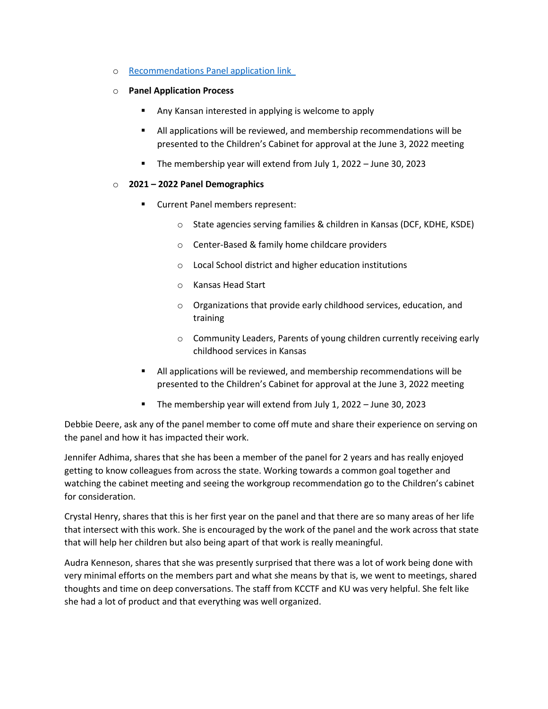- o [Recommendations Panel application link](https://kschildrenscabinet.org/apply-for-the-early-childhood-recommendations-panel)
- o **Panel Application Process**
	- Any Kansan interested in applying is welcome to apply
	- All applications will be reviewed, and membership recommendations will be presented to the Children's Cabinet for approval at the June 3, 2022 meeting
	- The membership year will extend from July 1, 2022 June 30, 2023

#### o **2021 – 2022 Panel Demographics**

- **EXECUTE:** Current Panel members represent:
	- o State agencies serving families & children in Kansas (DCF, KDHE, KSDE)
	- o Center-Based & family home childcare providers
	- o Local School district and higher education institutions
	- o Kansas Head Start
	- o Organizations that provide early childhood services, education, and training
	- o Community Leaders, Parents of young children currently receiving early childhood services in Kansas
- All applications will be reviewed, and membership recommendations will be presented to the Children's Cabinet for approval at the June 3, 2022 meeting
- The membership year will extend from July 1, 2022 June 30, 2023

Debbie Deere, ask any of the panel member to come off mute and share their experience on serving on the panel and how it has impacted their work.

Jennifer Adhima, shares that she has been a member of the panel for 2 years and has really enjoyed getting to know colleagues from across the state. Working towards a common goal together and watching the cabinet meeting and seeing the workgroup recommendation go to the Children's cabinet for consideration.

Crystal Henry, shares that this is her first year on the panel and that there are so many areas of her life that intersect with this work. She is encouraged by the work of the panel and the work across that state that will help her children but also being apart of that work is really meaningful.

Audra Kenneson, shares that she was presently surprised that there was a lot of work being done with very minimal efforts on the members part and what she means by that is, we went to meetings, shared thoughts and time on deep conversations. The staff from KCCTF and KU was very helpful. She felt like she had a lot of product and that everything was well organized.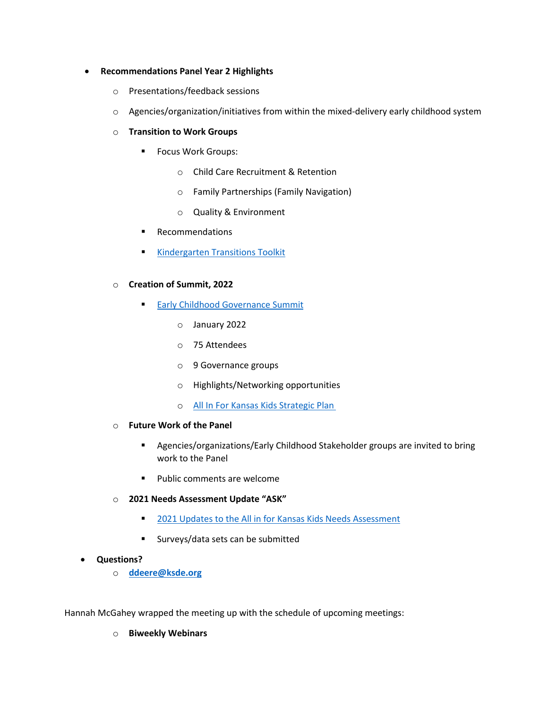#### • **Recommendations Panel Year 2 Highlights**

- o Presentations/feedback sessions
- o Agencies/organization/initiatives from within the mixed-delivery early childhood system
- o **Transition to Work Groups**
	- **Focus Work Groups:** 
		- o Child Care Recruitment & Retention
		- o Family Partnerships (Family Navigation)
		- o Quality & Environment
	- **Recommendations**
	- **[Kindergarten Transitions Toolkit](https://kschildrenscabinet.org/project/mou-toolkit/)**
- o **Creation of Summit, 2022**
	- **[Early Childhood Governance Summit](https://kschildrenscabinet.org/all-in-for-kansas-kids/kansas-early-childhood-governance-summit/)** 
		- o January 2022
		- o 75 Attendees
		- o 9 Governance groups
		- o Highlights/Networking opportunities
		- o [All In For Kansas Kids Strategic Plan](https://kschildrenscabinet.org/all-in-for-kansas-kids/strategic-plan/)
- o **Future Work of the Panel**
	- Agencies/organizations/Early Childhood Stakeholder groups are invited to bring work to the Panel
	- **Public comments are welcome**
- o **2021 Needs Assessment Update "ASK"**
	- **[2021 Updates to the All in for Kansas Kids Needs Assessment](https://kschildrenscabinet.org/wp-content/uploads/2020/05/Needs-Assessment-Summary.pdf)**
	- Surveys/data sets can be submitted
- **Questions?**
	- o **[ddeere@ksde.org](mailto:ddeere@ksde.org)**

Hannah McGahey wrapped the meeting up with the schedule of upcoming meetings:

o **Biweekly Webinars**